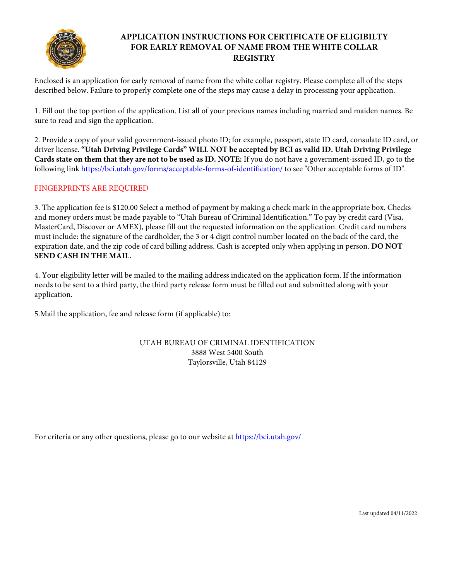

## **APPLICATION INSTRUCTIONS FOR CERTIFICATE OF ELIGIBILTY FOR EARLY REMOVAL OF NAME FROM THE WHITE COLLAR REGISTRY**

Enclosed is an application for early removal of name from the white collar registry. Please complete all of the steps described below. Failure to properly complete one of the steps may cause a delay in processing your application.

1. Fill out the top portion of the application. List all of your previous names including married and maiden names. Be sure to read and sign the application.

2. Provide a copy of your valid government-issued photo ID; for example, passport, state ID card, consulate ID card, or driver license. **"Utah Driving Privilege Cards" WILL NOT be accepted by BCI as valid ID. Utah Driving Privilege Cards state on them that they are not to be used as ID. NOTE:** If you do not have a government-issued ID, go to the following link https://bci.utah.gov/forms/acceptable-forms-of-identification/ to see "Other acceptable forms of ID".

## FINGERPRINTS ARE REQUIRED

3. The application fee is \$120.00 Select a method of payment by making a check mark in the appropriate box. Checks and money orders must be made payable to "Utah Bureau of Criminal Identification." To pay by credit card (Visa, MasterCard, Discover or AMEX), please fill out the requested information on the application. Credit card numbers must include: the signature of the cardholder, the 3 or 4 digit control number located on the back of the card, the expiration date, and the zip code of card billing address. Cash is accepted only when applying in person. **DO NOT SEND CASH IN THE MAIL.**

4. Your eligibility letter will be mailed to the mailing address indicated on the application form. If the information needs to be sent to a third party, the third party release form must be filled out and submitted along with your application.

5.Mail the application, fee and release form (if applicable) to:

## UTAH BUREAU OF CRIMINAL IDENTIFICATION 3888 West 5400 South Taylorsville, Utah 84129

For criteria or any other questions, please go to our website at https://bci.utah.gov/

Last updated 04/11/2022